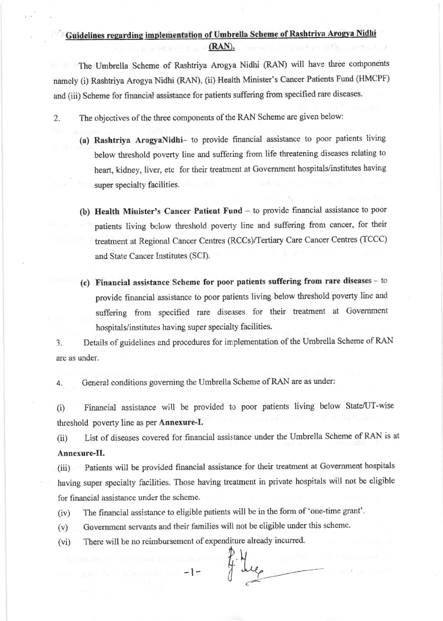## Guidelines regarding implementation of Umbrella Scheme of Rashtriya Arogya Nidhi

 $(RAN).$ 

The Umbrella Scheme of Rashtriya Arogya Nidhi (RAN) will have three components namely (i) Rashtriya Arogya Nidhi (RAN), (ii) Health Minister's cancer Patients Fund (I{MCPF) and (iii) Scheme for financial assistance for patients suffering from specified rare diseases.

2. The objectives of the three components of the RAN Scheme are given below:

408.3 (95) (25)

- (a) Rashtriya ArogyaNidhi- to provide financial assistance to poor patients living below threshold poverty line and suffering from life threatening diseases relating to heart, kidney, liver, etc for their treatment at Government hospitals/institutes having super specialty facilities.
- (b) Health Minister's Cancer Patient Fund to provide financial assistance to poor patients living bclow threshold poverty line and suffering front cancer, for their treatment at Regional cancer centes (RCCs/Tertiary care Cancer centres (TCCC) and State Cancer Institutes (SCI).
- (c) Financial assistance Scheme for poor patients suffering from rare diseases -- to provide financial assistance to poor palients living below threshold poverty line and suffering from specified rare diseases for their treatment at Government hospitals/institutes having super specialty facilities.

3. Details of guidelines and procedures for implementation of the Umbrella Scheme of RAN are as under.

General conditions governing the Umbrella Scheme of RAN are as under: 4.

(i) Financial assistance will be provided to poor patients living below State/UT-wise threshold poverty line as per **Annexure-I.** 

(ii) List of diseases covered for financial assistance under the Umbrella Scheme of RAN is at Annexure-II.

(iii) Patients will be provided financial assistance for their treatment at Government hospitals having super specialty facilities. Those having treatnent in private hospitals will nor be eligible for financial assistance under the scheme.

 $f^2$ 

(iv) The financial assistance to eligible patients will be in the form of 'one-time grant'.

(v) Government servants and their families will not be eligible under this scheme.

(vi) There will be no reimbursement of expenditure already incurred.